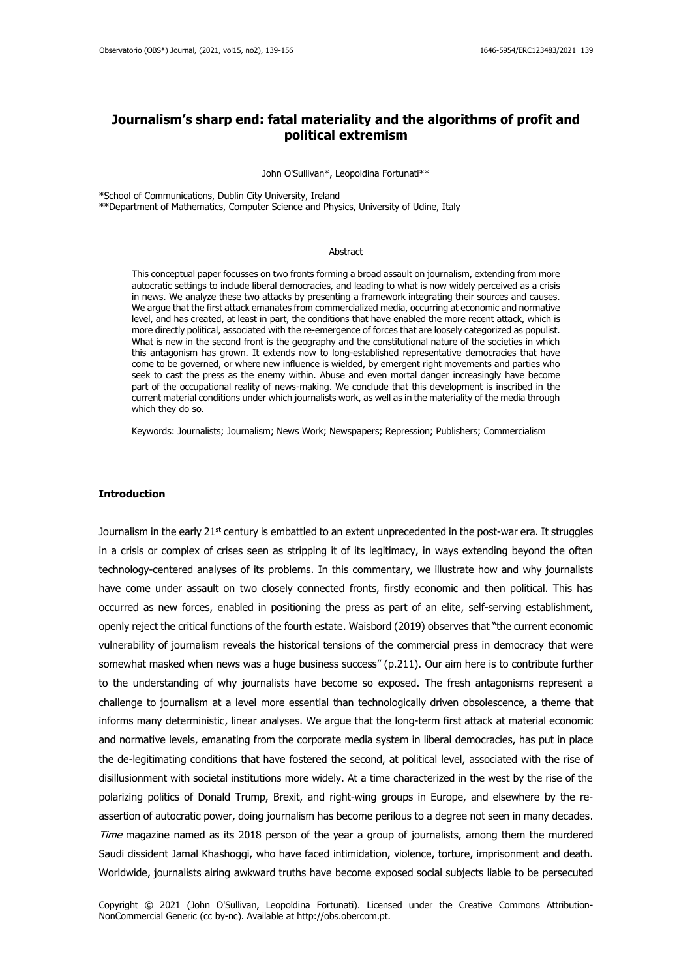# **Journalism's sharp end: fatal materiality and the algorithms of profit and political extremism**

John O'Sullivan\*, Leopoldina Fortunati\*\*

\*School of Communications, Dublin City University, Ireland

\*\*Department of Mathematics, Computer Science and Physics, University of Udine, Italy

## Abstract

This conceptual paper focusses on two fronts forming a broad assault on journalism, extending from more autocratic settings to include liberal democracies, and leading to what is now widely perceived as a crisis in news. We analyze these two attacks by presenting a framework integrating their sources and causes. We argue that the first attack emanates from commercialized media, occurring at economic and normative level, and has created, at least in part, the conditions that have enabled the more recent attack, which is more directly political, associated with the re-emergence of forces that are loosely categorized as populist. What is new in the second front is the geography and the constitutional nature of the societies in which this antagonism has grown. It extends now to long-established representative democracies that have come to be governed, or where new influence is wielded, by emergent right movements and parties who seek to cast the press as the enemy within. Abuse and even mortal danger increasingly have become part of the occupational reality of news-making. We conclude that this development is inscribed in the current material conditions under which journalists work, as well as in the materiality of the media through which they do so.

Keywords: Journalists; Journalism; News Work; Newspapers; Repression; Publishers; Commercialism

#### **Introduction**

Journalism in the early 21<sup>st</sup> century is embattled to an extent unprecedented in the post-war era. It struggles in a crisis or complex of crises seen as stripping it of its legitimacy, in ways extending beyond the often technology-centered analyses of its problems. In this commentary, we illustrate how and why journalists have come under assault on two closely connected fronts, firstly economic and then political. This has occurred as new forces, enabled in positioning the press as part of an elite, self-serving establishment, openly reject the critical functions of the fourth estate. Waisbord (2019) observes that "the current economic vulnerability of journalism reveals the historical tensions of the commercial press in democracy that were somewhat masked when news was a huge business success" (p.211). Our aim here is to contribute further to the understanding of why journalists have become so exposed. The fresh antagonisms represent a challenge to journalism at a level more essential than technologically driven obsolescence, a theme that informs many deterministic, linear analyses. We argue that the long-term first attack at material economic and normative levels, emanating from the corporate media system in liberal democracies, has put in place the de-legitimating conditions that have fostered the second, at political level, associated with the rise of disillusionment with societal institutions more widely. At a time characterized in the west by the rise of the polarizing politics of Donald Trump, Brexit, and right-wing groups in Europe, and elsewhere by the reassertion of autocratic power, doing journalism has become perilous to a degree not seen in many decades. Time magazine named as its 2018 person of the year a group of journalists, among them the murdered Saudi dissident Jamal Khashoggi, who have faced intimidation, violence, torture, imprisonment and death. Worldwide, journalists airing awkward truths have become exposed social subjects liable to be persecuted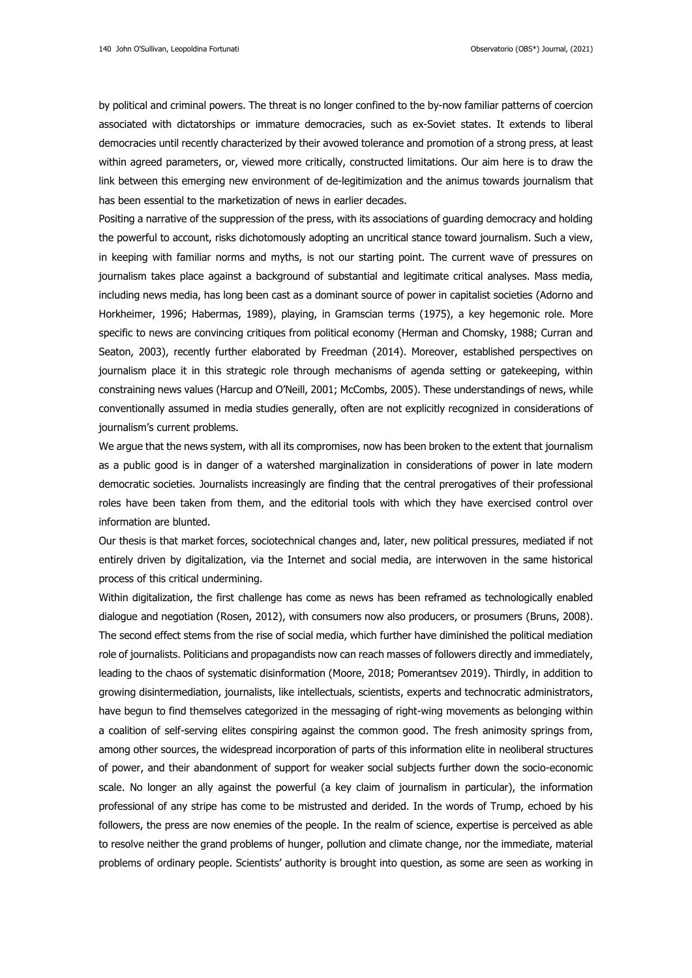by political and criminal powers. The threat is no longer confined to the by-now familiar patterns of coercion associated with dictatorships or immature democracies, such as ex-Soviet states. It extends to liberal democracies until recently characterized by their avowed tolerance and promotion of a strong press, at least within agreed parameters, or, viewed more critically, constructed limitations. Our aim here is to draw the link between this emerging new environment of de-legitimization and the animus towards journalism that has been essential to the marketization of news in earlier decades.

Positing a narrative of the suppression of the press, with its associations of guarding democracy and holding the powerful to account, risks dichotomously adopting an uncritical stance toward journalism. Such a view, in keeping with familiar norms and myths, is not our starting point. The current wave of pressures on journalism takes place against a background of substantial and legitimate critical analyses. Mass media, including news media, has long been cast as a dominant source of power in capitalist societies (Adorno and Horkheimer, 1996; Habermas, 1989), playing, in Gramscian terms (1975), a key hegemonic role. More specific to news are convincing critiques from political economy (Herman and Chomsky, 1988; Curran and Seaton, 2003), recently further elaborated by Freedman (2014). Moreover, established perspectives on journalism place it in this strategic role through mechanisms of agenda setting or gatekeeping, within constraining news values (Harcup and O'Neill, 2001; McCombs, 2005). These understandings of news, while conventionally assumed in media studies generally, often are not explicitly recognized in considerations of journalism's current problems.

We argue that the news system, with all its compromises, now has been broken to the extent that journalism as a public good is in danger of a watershed marginalization in considerations of power in late modern democratic societies. Journalists increasingly are finding that the central prerogatives of their professional roles have been taken from them, and the editorial tools with which they have exercised control over information are blunted.

Our thesis is that market forces, sociotechnical changes and, later, new political pressures, mediated if not entirely driven by digitalization, via the Internet and social media, are interwoven in the same historical process of this critical undermining.

Within digitalization, the first challenge has come as news has been reframed as technologically enabled dialogue and negotiation (Rosen, 2012), with consumers now also producers, or prosumers (Bruns, 2008). The second effect stems from the rise of social media, which further have diminished the political mediation role of journalists. Politicians and propagandists now can reach masses of followers directly and immediately, leading to the chaos of systematic disinformation (Moore, 2018; Pomerantsev 2019). Thirdly, in addition to growing disintermediation, journalists, like intellectuals, scientists, experts and technocratic administrators, have begun to find themselves categorized in the messaging of right-wing movements as belonging within a coalition of self-serving elites conspiring against the common good. The fresh animosity springs from, among other sources, the widespread incorporation of parts of this information elite in neoliberal structures of power, and their abandonment of support for weaker social subjects further down the socio-economic scale. No longer an ally against the powerful (a key claim of journalism in particular), the information professional of any stripe has come to be mistrusted and derided. In the words of Trump, echoed by his followers, the press are now enemies of the people. In the realm of science, expertise is perceived as able to resolve neither the grand problems of hunger, pollution and climate change, nor the immediate, material problems of ordinary people. Scientists' authority is brought into question, as some are seen as working in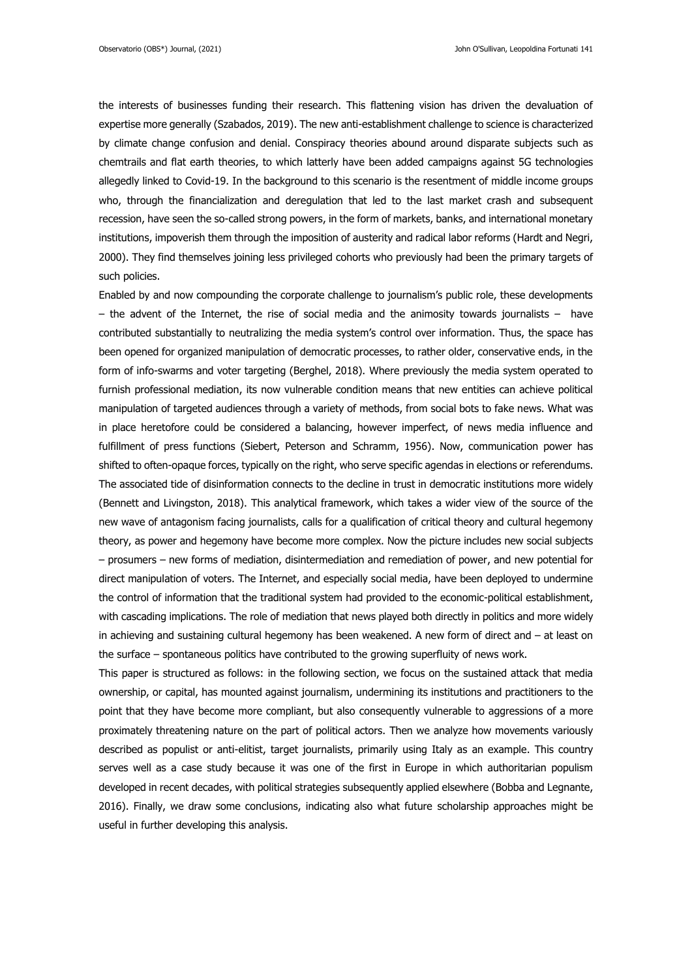the interests of businesses funding their research. This flattening vision has driven the devaluation of expertise more generally (Szabados, 2019). The new anti-establishment challenge to science is characterized by climate change confusion and denial. Conspiracy theories abound around disparate subjects such as chemtrails and flat earth theories, to which latterly have been added campaigns against 5G technologies allegedly linked to Covid-19. In the background to this scenario is the resentment of middle income groups who, through the financialization and deregulation that led to the last market crash and subsequent recession, have seen the so-called strong powers, in the form of markets, banks, and international monetary institutions, impoverish them through the imposition of austerity and radical labor reforms (Hardt and Negri, 2000). They find themselves joining less privileged cohorts who previously had been the primary targets of such policies.

Enabled by and now compounding the corporate challenge to journalism's public role, these developments – the advent of the Internet, the rise of social media and the animosity towards journalists – have contributed substantially to neutralizing the media system's control over information. Thus, the space has been opened for organized manipulation of democratic processes, to rather older, conservative ends, in the form of info-swarms and voter targeting (Berghel, 2018). Where previously the media system operated to furnish professional mediation, its now vulnerable condition means that new entities can achieve political manipulation of targeted audiences through a variety of methods, from social bots to fake news. What was in place heretofore could be considered a balancing, however imperfect, of news media influence and fulfillment of press functions (Siebert, Peterson and Schramm, 1956). Now, communication power has shifted to often-opaque forces, typically on the right, who serve specific agendas in elections or referendums. The associated tide of disinformation connects to the decline in trust in democratic institutions more widely (Bennett and Livingston, 2018). This analytical framework, which takes a wider view of the source of the new wave of antagonism facing journalists, calls for a qualification of critical theory and cultural hegemony theory, as power and hegemony have become more complex. Now the picture includes new social subjects – prosumers – new forms of mediation, disintermediation and remediation of power, and new potential for direct manipulation of voters. The Internet, and especially social media, have been deployed to undermine the control of information that the traditional system had provided to the economic-political establishment, with cascading implications. The role of mediation that news played both directly in politics and more widely in achieving and sustaining cultural hegemony has been weakened. A new form of direct and – at least on the surface – spontaneous politics have contributed to the growing superfluity of news work.

This paper is structured as follows: in the following section, we focus on the sustained attack that media ownership, or capital, has mounted against journalism, undermining its institutions and practitioners to the point that they have become more compliant, but also consequently vulnerable to aggressions of a more proximately threatening nature on the part of political actors. Then we analyze how movements variously described as populist or anti-elitist, target journalists, primarily using Italy as an example. This country serves well as a case study because it was one of the first in Europe in which authoritarian populism developed in recent decades, with political strategies subsequently applied elsewhere (Bobba and Legnante, 2016). Finally, we draw some conclusions, indicating also what future scholarship approaches might be useful in further developing this analysis.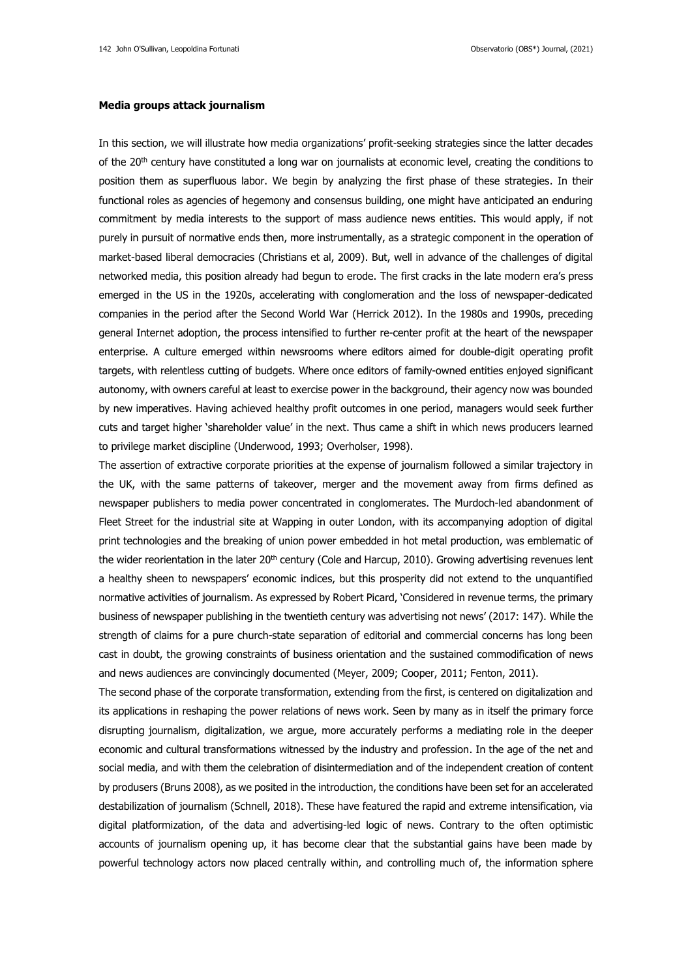#### **Media groups attack journalism**

In this section, we will illustrate how media organizations' profit-seeking strategies since the latter decades of the  $20<sup>th</sup>$  century have constituted a long war on journalists at economic level, creating the conditions to position them as superfluous labor. We begin by analyzing the first phase of these strategies. In their functional roles as agencies of hegemony and consensus building, one might have anticipated an enduring commitment by media interests to the support of mass audience news entities. This would apply, if not purely in pursuit of normative ends then, more instrumentally, as a strategic component in the operation of market-based liberal democracies (Christians et al, 2009). But, well in advance of the challenges of digital networked media, this position already had begun to erode. The first cracks in the late modern era's press emerged in the US in the 1920s, accelerating with conglomeration and the loss of newspaper-dedicated companies in the period after the Second World War (Herrick 2012). In the 1980s and 1990s, preceding general Internet adoption, the process intensified to further re-center profit at the heart of the newspaper enterprise. A culture emerged within newsrooms where editors aimed for double-digit operating profit targets, with relentless cutting of budgets. Where once editors of family-owned entities enjoyed significant autonomy, with owners careful at least to exercise power in the background, their agency now was bounded by new imperatives. Having achieved healthy profit outcomes in one period, managers would seek further cuts and target higher 'shareholder value' in the next. Thus came a shift in which news producers learned to privilege market discipline (Underwood, 1993; Overholser, 1998).

The assertion of extractive corporate priorities at the expense of journalism followed a similar trajectory in the UK, with the same patterns of takeover, merger and the movement away from firms defined as newspaper publishers to media power concentrated in conglomerates. The Murdoch-led abandonment of Fleet Street for the industrial site at Wapping in outer London, with its accompanying adoption of digital print technologies and the breaking of union power embedded in hot metal production, was emblematic of the wider reorientation in the later 20<sup>th</sup> century (Cole and Harcup, 2010). Growing advertising revenues lent a healthy sheen to newspapers' economic indices, but this prosperity did not extend to the unquantified normative activities of journalism. As expressed by Robert Picard, 'Considered in revenue terms, the primary business of newspaper publishing in the twentieth century was advertising not news' (2017: 147). While the strength of claims for a pure church-state separation of editorial and commercial concerns has long been cast in doubt, the growing constraints of business orientation and the sustained commodification of news and news audiences are convincingly documented (Meyer, 2009; Cooper, 2011; Fenton, 2011).

The second phase of the corporate transformation, extending from the first, is centered on digitalization and its applications in reshaping the power relations of news work. Seen by many as in itself the primary force disrupting journalism, digitalization, we argue, more accurately performs a mediating role in the deeper economic and cultural transformations witnessed by the industry and profession. In the age of the net and social media, and with them the celebration of disintermediation and of the independent creation of content by produsers (Bruns 2008), as we posited in the introduction, the conditions have been set for an accelerated destabilization of journalism (Schnell, 2018). These have featured the rapid and extreme intensification, via digital platformization, of the data and advertising-led logic of news. Contrary to the often optimistic accounts of journalism opening up, it has become clear that the substantial gains have been made by powerful technology actors now placed centrally within, and controlling much of, the information sphere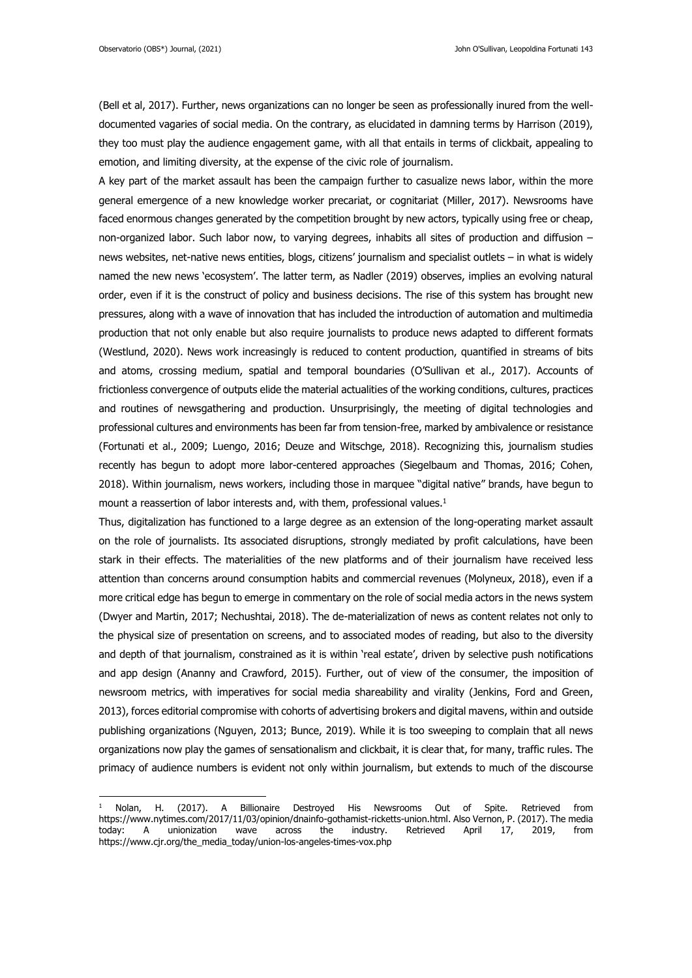(Bell et al, 2017). Further, news organizations can no longer be seen as professionally inured from the welldocumented vagaries of social media. On the contrary, as elucidated in damning terms by Harrison (2019), they too must play the audience engagement game, with all that entails in terms of clickbait, appealing to emotion, and limiting diversity, at the expense of the civic role of journalism.

A key part of the market assault has been the campaign further to casualize news labor, within the more general emergence of a new knowledge worker precariat, or cognitariat (Miller, 2017). Newsrooms have faced enormous changes generated by the competition brought by new actors, typically using free or cheap, non-organized labor. Such labor now, to varying degrees, inhabits all sites of production and diffusion – news websites, net-native news entities, blogs, citizens' journalism and specialist outlets – in what is widely named the new news 'ecosystem'. The latter term, as Nadler (2019) observes, implies an evolving natural order, even if it is the construct of policy and business decisions. The rise of this system has brought new pressures, along with a wave of innovation that has included the introduction of automation and multimedia production that not only enable but also require journalists to produce news adapted to different formats (Westlund, 2020). News work increasingly is reduced to content production, quantified in streams of bits and atoms, crossing medium, spatial and temporal boundaries (O'Sullivan et al., 2017). Accounts of frictionless convergence of outputs elide the material actualities of the working conditions, cultures, practices and routines of newsgathering and production. Unsurprisingly, the meeting of digital technologies and professional cultures and environments has been far from tension-free, marked by ambivalence or resistance (Fortunati et al., 2009; Luengo, 2016; Deuze and Witschge, 2018). Recognizing this, journalism studies recently has begun to adopt more labor-centered approaches (Siegelbaum and Thomas, 2016; Cohen, 2018). Within journalism, news workers, including those in marquee "digital native" brands, have begun to mount a reassertion of labor interests and, with them, professional values. 1

Thus, digitalization has functioned to a large degree as an extension of the long-operating market assault on the role of journalists. Its associated disruptions, strongly mediated by profit calculations, have been stark in their effects. The materialities of the new platforms and of their journalism have received less attention than concerns around consumption habits and commercial revenues (Molyneux, 2018), even if a more critical edge has begun to emerge in commentary on the role of social media actors in the news system (Dwyer and Martin, 2017; Nechushtai, 2018). The de-materialization of news as content relates not only to the physical size of presentation on screens, and to associated modes of reading, but also to the diversity and depth of that journalism, constrained as it is within 'real estate', driven by selective push notifications and app design (Ananny and Crawford, 2015). Further, out of view of the consumer, the imposition of newsroom metrics, with imperatives for social media shareability and virality (Jenkins, Ford and Green, 2013), forces editorial compromise with cohorts of advertising brokers and digital mavens, within and outside publishing organizations (Nguyen, 2013; Bunce, 2019). While it is too sweeping to complain that all news organizations now play the games of sensationalism and clickbait, it is clear that, for many, traffic rules. The primacy of audience numbers is evident not only within journalism, but extends to much of the discourse

<sup>&</sup>lt;sup>1</sup> Nolan, H. (2017). A Billionaire Destroyed His Newsrooms Out of Spite. Retrieved from [https://www.nytimes.com/2017/11/03/opinion/dnainfo-gothamist-ricketts-union.html.](https://www.nytimes.com/2017/11/03/opinion/dnainfo-gothamist-ricketts-union.html) Also Vernon, P. (2017). The media today: A unionization wave across the industry. Retrieved April 17, 2019, from [https://www.cjr.org/the\\_media\\_today/union-los-angeles-times-vox.php](https://www.cjr.org/the_media_today/union-los-angeles-times-vox.php)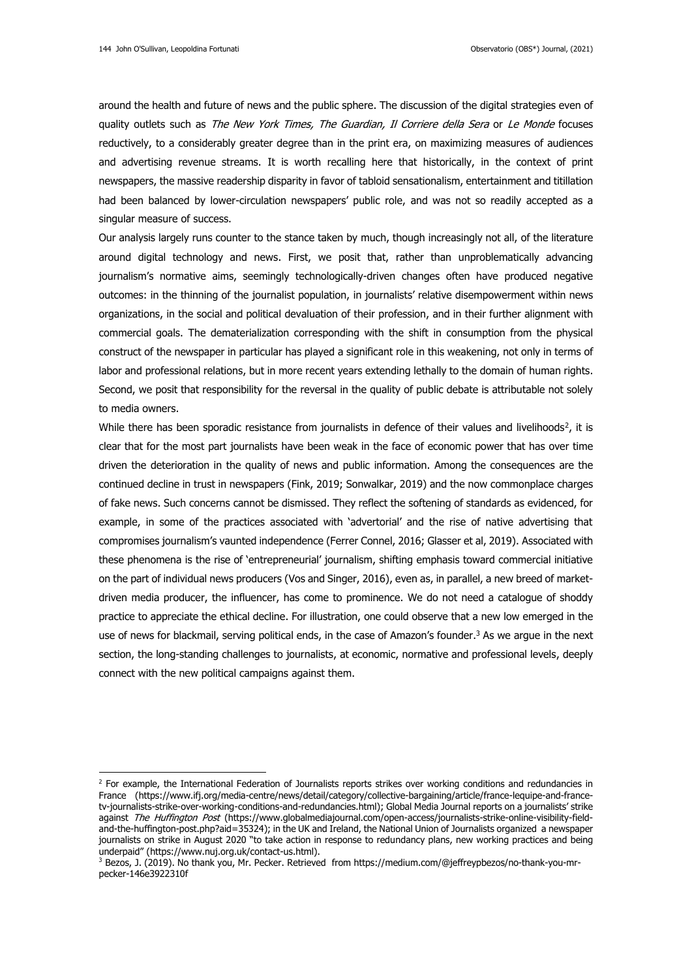around the health and future of news and the public sphere. The discussion of the digital strategies even of quality outlets such as The New York Times, The Guardian, Il Corriere della Sera or Le Monde focuses reductively, to a considerably greater degree than in the print era, on maximizing measures of audiences and advertising revenue streams. It is worth recalling here that historically, in the context of print newspapers, the massive readership disparity in favor of tabloid sensationalism, entertainment and titillation had been balanced by lower-circulation newspapers' public role, and was not so readily accepted as a singular measure of success.

Our analysis largely runs counter to the stance taken by much, though increasingly not all, of the literature around digital technology and news. First, we posit that, rather than unproblematically advancing journalism's normative aims, seemingly technologically-driven changes often have produced negative outcomes: in the thinning of the journalist population, in journalists' relative disempowerment within news organizations, in the social and political devaluation of their profession, and in their further alignment with commercial goals. The dematerialization corresponding with the shift in consumption from the physical construct of the newspaper in particular has played a significant role in this weakening, not only in terms of labor and professional relations, but in more recent years extending lethally to the domain of human rights. Second, we posit that responsibility for the reversal in the quality of public debate is attributable not solely to media owners.

While there has been sporadic resistance from journalists in defence of their values and livelihoods<sup>2</sup>, it is clear that for the most part journalists have been weak in the face of economic power that has over time driven the deterioration in the quality of news and public information. Among the consequences are the continued decline in trust in newspapers (Fink, 2019; Sonwalkar, 2019) and the now commonplace charges of fake news. Such concerns cannot be dismissed. They reflect the softening of standards as evidenced, for example, in some of the practices associated with 'advertorial' and the rise of native advertising that compromises journalism's vaunted independence (Ferrer Connel, 2016; Glasser et al, 2019). Associated with these phenomena is the rise of 'entrepreneurial' journalism, shifting emphasis toward commercial initiative on the part of individual news producers (Vos and Singer, 2016), even as, in parallel, a new breed of marketdriven media producer, the influencer, has come to prominence. We do not need a catalogue of shoddy practice to appreciate the ethical decline. For illustration, one could observe that a new low emerged in the use of news for blackmail, serving political ends, in the case of Amazon's founder.<sup>3</sup> As we argue in the next section, the long-standing challenges to journalists, at economic, normative and professional levels, deeply connect with the new political campaigns against them.

 $<sup>2</sup>$  For example, the International Federation of Journalists reports strikes over working conditions and redundancies in</sup> France [\(https://www.ifj.org/media-centre/news/detail/category/collective-bargaining/article/france-lequipe-and-france](https://www.ifj.org/media-centre/news/detail/category/collective-bargaining/article/france-lequipe-and-france-tv-journalists-strike-over-working-conditions-and-redundancies.html)[tv-journalists-strike-over-working-conditions-and-redundancies.html](https://www.ifj.org/media-centre/news/detail/category/collective-bargaining/article/france-lequipe-and-france-tv-journalists-strike-over-working-conditions-and-redundancies.html)); Global Media Journal reports on a journalists' strike against The Huffington Post [\(https://www.globalmediajournal.com/open-access/journalists-strike-online-visibility-field](https://www.globalmediajournal.com/open-access/journalists-strike-online-visibility-field-and-the-huffington-post.php?aid=35324)[and-the-huffington-post.php?aid=35324\)](https://www.globalmediajournal.com/open-access/journalists-strike-online-visibility-field-and-the-huffington-post.php?aid=35324); in the UK and Ireland, the National Union of Journalists organized a newspaper journalists on strike in August 2020 "to take action in response to redundancy plans, new working practices and being underpaid" (https://www.nuj.org.uk/contact-us.html).

<sup>3</sup> Bezos, J. (2019). No thank you, Mr. Pecker. Retrieved from https://medium.com/@jeffreypbezos/no-thank-you-mrpecker-146e3922310f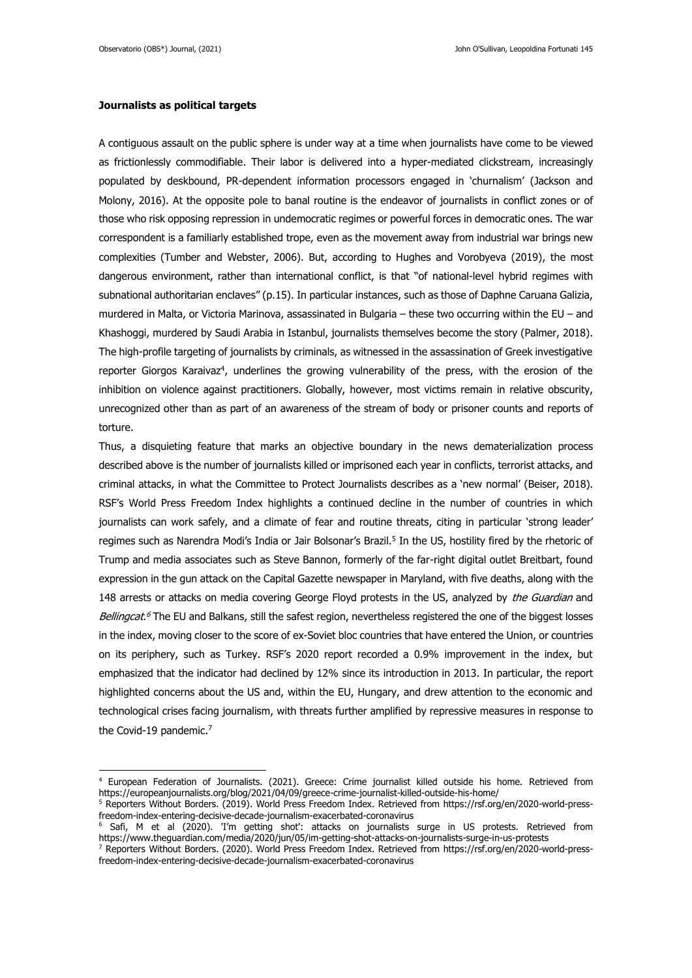### **Journalists as political targets**

A contiguous assault on the public sphere is under way at a time when journalists have come to be viewed as frictionlessly commodifiable. Their labor is delivered into a hyper-mediated clickstream, increasingly populated by deskbound, PR-dependent information processors engaged in 'churnalism' (Jackson and Molony, 2016). At the opposite pole to banal routine is the endeavor of journalists in conflict zones or of those who risk opposing repression in undemocratic regimes or powerful forces in democratic ones. The war correspondent is a familiarly established trope, even as the movement away from industrial war brings new complexities (Tumber and Webster, 2006). But, according to Hughes and Vorobyeva (2019), the most dangerous environment, rather than international conflict, is that "of national-level hybrid regimes with subnational authoritarian enclaves" (p.15). In particular instances, such as those of Daphne Caruana Galizia, murdered in Malta, or Victoria Marinova, assassinated in Bulgaria – these two occurring within the EU – and Khashoggi, murdered by Saudi Arabia in Istanbul, journalists themselves become the story (Palmer, 2018). The high-profile targeting of journalists by criminals, as witnessed in the assassination of Greek investigative reporter Giorgos Karaivaz<sup>4</sup>, underlines the growing vulnerability of the press, with the erosion of the inhibition on violence against practitioners. Globally, however, most victims remain in relative obscurity, unrecognized other than as part of an awareness of the stream of body or prisoner counts and reports of torture.

Thus, a disquieting feature that marks an objective boundary in the news dematerialization process described above is the number of journalists killed or imprisoned each year in conflicts, terrorist attacks, and criminal attacks, in what the Committee to Protect Journalists describes as a 'new normal' (Beiser, 2018). RSF's World Press Freedom Index highlights a continued decline in the number of countries in which journalists can work safely, and a climate of fear and routine threats, citing in particular 'strong leader' regimes such as Narendra Modi's India or Jair Bolsonar's Brazil. 5 In the US, hostility fired by the rhetoric of Trump and media associates such as Steve Bannon, formerly of the far-right digital outlet Breitbart, found expression in the gun attack on the Capital Gazette newspaper in Maryland, with five deaths, along with the 148 arrests or attacks on media covering George Floyd protests in the US, analyzed by the Guardian and *Bellingcat.<sup>6</sup>* The EU and Balkans, still the safest region, nevertheless registered the one of the biggest losses in the index, moving closer to the score of ex-Soviet bloc countries that have entered the Union, or countries on its periphery, such as Turkey. RSF's 2020 report recorded a 0.9% improvement in the index, but emphasized that the indicator had declined by 12% since its introduction in 2013. In particular, the report highlighted concerns about the US and, within the EU, Hungary, and drew attention to the economic and technological crises facing journalism, with threats further amplified by repressive measures in response to the Covid-19 pandemic.<sup>7</sup>

<sup>4</sup> European Federation of Journalists. (2021). Greece: Crime journalist killed outside his home. Retrieved from https://europeanjournalists.org/blog/2021/04/09/greece-crime-journalist-killed-outside-his-home/

<sup>5</sup> Reporters Without Borders. (2019). World Press Freedom Index. Retrieved from https://rsf.org/en/2020-world-pressfreedom-index-entering-decisive-decade-journalism-exacerbated-coronavirus

<sup>6</sup> Safi, M et al (2020). 'I'm getting shot': attacks on journalists surge in US protests. Retrieved from <https://www.theguardian.com/media/2020/jun/05/im-getting-shot-attacks-on-journalists-surge-in-us-protests>

<sup>7</sup> Reporters Without Borders. (2020). World Press Freedom Index. Retrieved from [https://rsf.org/en/2020-world-press](https://rsf.org/en/2020-world-press-freedom-index-entering-decisive-decade-journalism-exacerbated-coronavirus)[freedom-index-entering-decisive-decade-journalism-exacerbated-coronavirus](https://rsf.org/en/2020-world-press-freedom-index-entering-decisive-decade-journalism-exacerbated-coronavirus)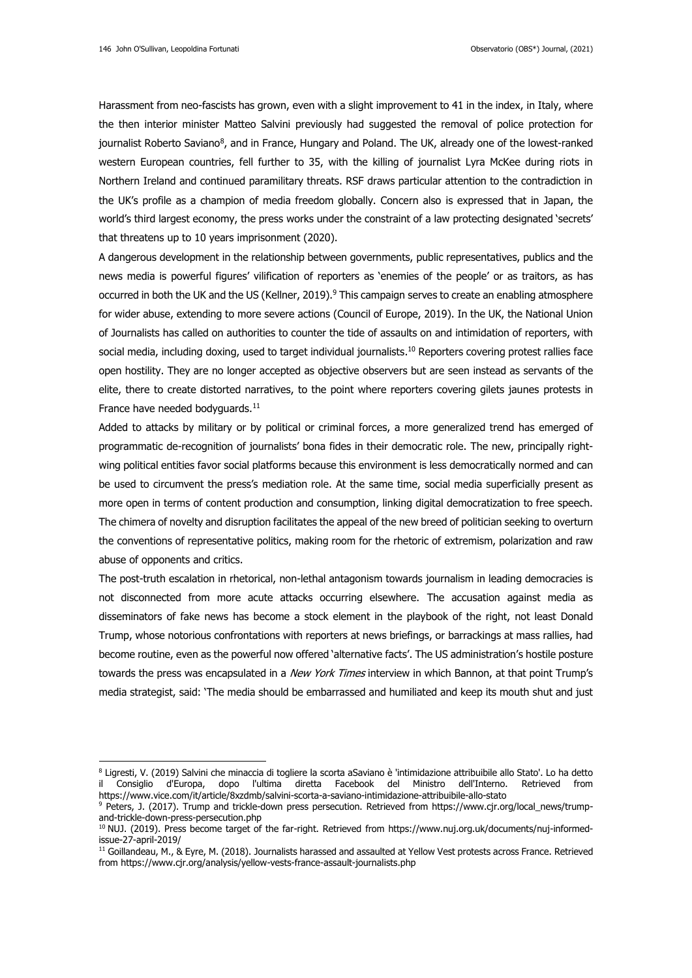Harassment from neo-fascists has grown, even with a slight improvement to 41 in the index, in Italy, where the then interior minister Matteo Salvini previously had suggested the removal of police protection for journalist Roberto Saviano<sup>8</sup>, and in France, Hungary and Poland. The UK, already one of the lowest-ranked western European countries, fell further to 35, with the killing of journalist Lyra McKee during riots in Northern Ireland and continued paramilitary threats. RSF draws particular attention to the contradiction in the UK's profile as a champion of media freedom globally. Concern also is expressed that in Japan, the world's third largest economy, the press works under the constraint of a law protecting designated 'secrets' that threatens up to 10 years imprisonment (2020).

A dangerous development in the relationship between governments, public representatives, publics and the news media is powerful figures' vilification of reporters as 'enemies of the people' or as traitors, as has occurred in both the UK and the US (Kellner, 2019).<sup>9</sup> This campaign serves to create an enabling atmosphere for wider abuse, extending to more severe actions (Council of Europe, 2019). In the UK, the National Union of Journalists has called on authorities to counter the tide of assaults on and intimidation of reporters, with social media, including doxing, used to target individual journalists. <sup>10</sup> Reporters covering protest rallies face open hostility. They are no longer accepted as objective observers but are seen instead as servants of the elite, there to create distorted narratives, to the point where reporters covering gilets jaunes protests in France have needed bodyguards.<sup>11</sup>

Added to attacks by military or by political or criminal forces, a more generalized trend has emerged of programmatic de-recognition of journalists' bona fides in their democratic role. The new, principally rightwing political entities favor social platforms because this environment is less democratically normed and can be used to circumvent the press's mediation role. At the same time, social media superficially present as more open in terms of content production and consumption, linking digital democratization to free speech. The chimera of novelty and disruption facilitates the appeal of the new breed of politician seeking to overturn the conventions of representative politics, making room for the rhetoric of extremism, polarization and raw abuse of opponents and critics.

The post-truth escalation in rhetorical, non-lethal antagonism towards journalism in leading democracies is not disconnected from more acute attacks occurring elsewhere. The accusation against media as disseminators of fake news has become a stock element in the playbook of the right, not least Donald Trump, whose notorious confrontations with reporters at news briefings, or barrackings at mass rallies, had become routine, even as the powerful now offered 'alternative facts'. The US administration's hostile posture towards the press was encapsulated in a New York Times interview in which Bannon, at that point Trump's media strategist, said: 'The media should be embarrassed and humiliated and keep its mouth shut and just

<sup>8</sup> Ligresti, V. (2019) Salvini che minaccia di togliere la scorta aSaviano è 'intimidazione attribuibile allo Stato'. Lo ha detto il Consiglio d'Europa, dopo l'ultima diretta Facebook del Ministro dell'Interno. Retrieved from <https://www.vice.com/it/article/8xzdmb/salvini-scorta-a-saviano-intimidazione-attribuibile-allo-stato>

<sup>9</sup> Peters, J. (2017). Trump and trickle-down press persecution. Retrieved from [https://www.cjr.org/local\\_news/trump](https://www.cjr.org/local_news/trump-and-trickle-down-press-persecution.php)[and-trickle-down-press-persecution.php](https://www.cjr.org/local_news/trump-and-trickle-down-press-persecution.php)

<sup>&</sup>lt;sup>10</sup> NUJ. (2019). Press become target of the far-right. Retrieved from [https://www.nuj.org.uk/documents/nuj-informed](https://www.nuj.org.uk/documents/nuj-informed-issue-27-april-2019/)[issue-27-april-2019/](https://www.nuj.org.uk/documents/nuj-informed-issue-27-april-2019/)

<sup>&</sup>lt;sup>11</sup> Goillandeau, M., & Eyre, M. (2018). Journalists harassed and assaulted at Yellow Vest protests across France. Retrieved from <https://www.cjr.org/analysis/yellow-vests-france-assault-journalists.php>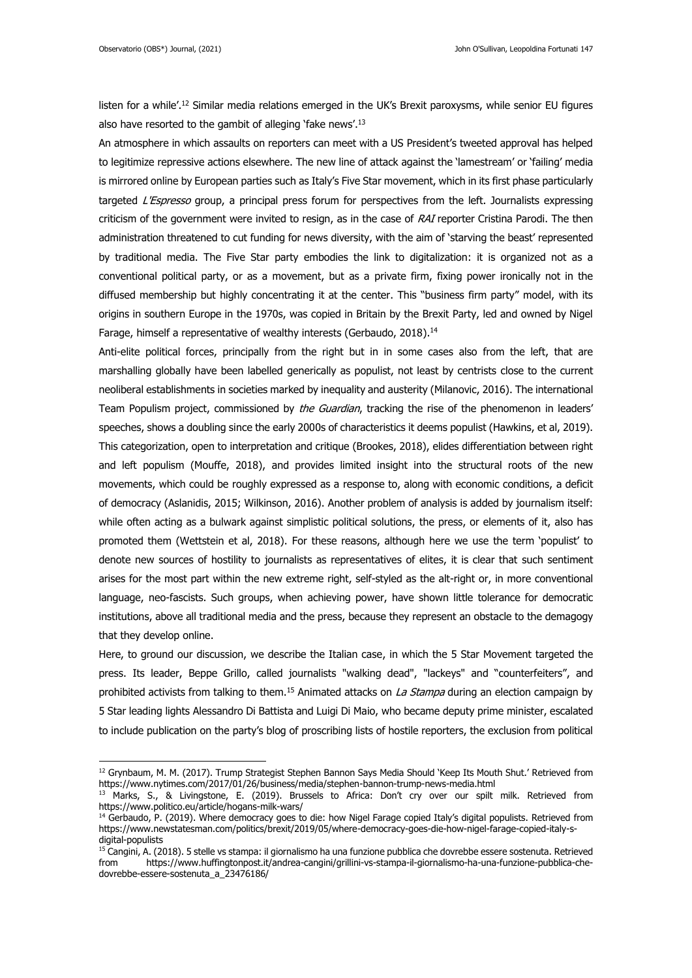listen for a while<sup>', 12</sup> Similar media relations emerged in the UK's Brexit paroxysms, while senior EU figures also have resorted to the gambit of alleging 'fake news'.<sup>13</sup>

An atmosphere in which assaults on reporters can meet with a US President's tweeted approval has helped to legitimize repressive actions elsewhere. The new line of attack against the 'lamestream' or 'failing' media is mirrored online by European parties such as Italy's Five Star movement, which in its first phase particularly targeted L'Espresso group, a principal press forum for perspectives from the left. Journalists expressing criticism of the government were invited to resign, as in the case of RAI reporter Cristina Parodi. The then administration threatened to cut funding for news diversity, with the aim of 'starving the beast' represented by traditional media. The Five Star party embodies the link to digitalization: it is organized not as a conventional political party, or as a movement, but as a private firm, fixing power ironically not in the diffused membership but highly concentrating it at the center. This "business firm party" model, with its origins in southern Europe in the 1970s, was copied in Britain by the Brexit Party, led and owned by Nigel Farage, himself a representative of wealthy interests (Gerbaudo, 2018).<sup>14</sup>

Anti-elite political forces, principally from the right but in in some cases also from the left, that are marshalling globally have been labelled generically as populist, not least by centrists close to the current neoliberal establishments in societies marked by inequality and austerity (Milanovic, 2016). The international Team Populism project, commissioned by the Guardian, tracking the rise of the phenomenon in leaders' speeches, shows a doubling since the early 2000s of characteristics it deems populist (Hawkins, et al, 2019). This categorization, open to interpretation and critique (Brookes, 2018), elides differentiation between right and left populism (Mouffe, 2018), and provides limited insight into the structural roots of the new movements, which could be roughly expressed as a response to, along with economic conditions, a deficit of democracy (Aslanidis, 2015; Wilkinson, 2016). Another problem of analysis is added by journalism itself: while often acting as a bulwark against simplistic political solutions, the press, or elements of it, also has promoted them (Wettstein et al, 2018). For these reasons, although here we use the term 'populist' to denote new sources of hostility to journalists as representatives of elites, it is clear that such sentiment arises for the most part within the new extreme right, self-styled as the alt-right or, in more conventional language, neo-fascists. Such groups, when achieving power, have shown little tolerance for democratic institutions, above all traditional media and the press, because they represent an obstacle to the demagogy that they develop online.

Here, to ground our discussion, we describe the Italian case, in which the 5 Star Movement targeted the press. Its leader, Beppe Grillo, called journalists "walking dead", "lackeys" and "counterfeiters", and prohibited activists from talking to them.<sup>15</sup> Animated attacks on *La Stampa* during an election campaign by 5 Star leading lights Alessandro Di Battista and Luigi Di Maio, who became deputy prime minister, escalated to include publication on the party's blog of proscribing lists of hostile reporters, the exclusion from political

<sup>&</sup>lt;sup>12</sup> Grynbaum, M. M. (2017). Trump Strategist Stephen Bannon Says Media Should 'Keep Its Mouth Shut.' Retrieved from <https://www.nytimes.com/2017/01/26/business/media/stephen-bannon-trump-news-media.html>

<sup>&</sup>lt;sup>13</sup> Marks, S., & Livingstone, E. (2019). Brussels to Africa: Don't cry over our spilt milk. Retrieved from <https://www.politico.eu/article/hogans-milk-wars/>

<sup>&</sup>lt;sup>14</sup> Gerbaudo, P. (2019). Where democracy goes to die: how Nigel Farage copied Italy's digital populists. Retrieved from https://www.newstatesman.com/politics/brexit/2019/05/where-democracy-goes-die-how-nigel-farage-copied-italy-sdigital-populists

<sup>&</sup>lt;sup>15</sup> Cangini, A. (2018). 5 stelle vs stampa: il giornalismo ha una funzione pubblica che dovrebbe essere sostenuta. Retrieved from [https://www.huffingtonpost.it/andrea-cangini/grillini-vs-stampa-il-giornalismo-ha-una-funzione-pubblica-che](https://www.huffingtonpost.it/andrea-cangini/grillini-vs-stampa-il-giornalismo-ha-una-funzione-pubblica-che-dovrebbe-essere-sostenuta_a_23476186/)[dovrebbe-essere-sostenuta\\_a\\_23476186/](https://www.huffingtonpost.it/andrea-cangini/grillini-vs-stampa-il-giornalismo-ha-una-funzione-pubblica-che-dovrebbe-essere-sostenuta_a_23476186/)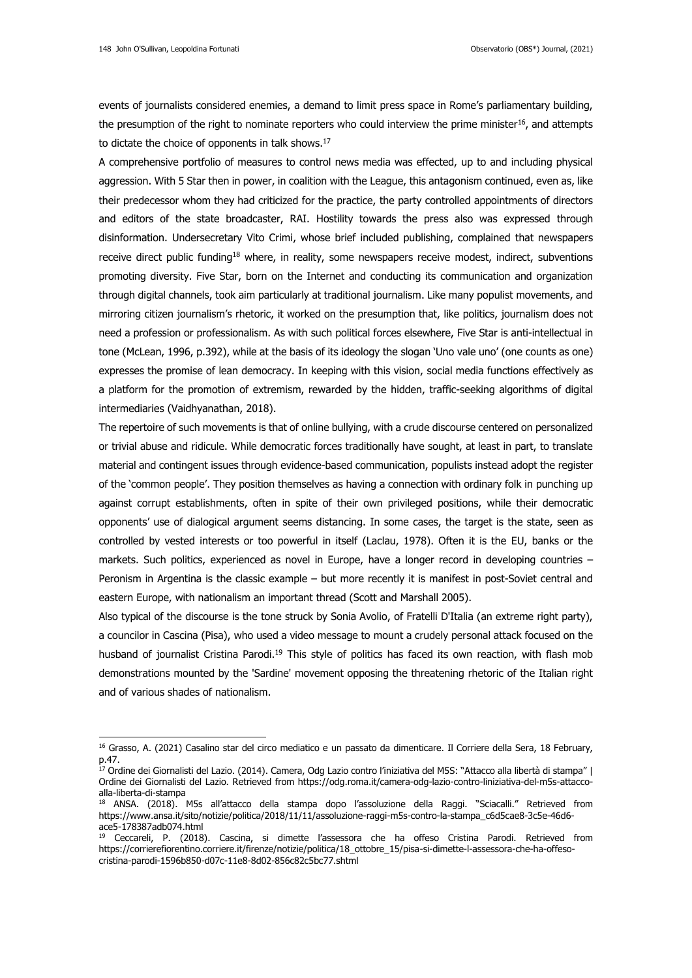events of journalists considered enemies, a demand to limit press space in Rome's parliamentary building, the presumption of the right to nominate reporters who could interview the prime minister<sup>16</sup>, and attempts to dictate the choice of opponents in talk shows.<sup>17</sup>

A comprehensive portfolio of measures to control news media was effected, up to and including physical aggression. With 5 Star then in power, in coalition with the League, this antagonism continued, even as, like their predecessor whom they had criticized for the practice, the party controlled appointments of directors and editors of the state broadcaster, RAI. Hostility towards the press also was expressed through disinformation. Undersecretary Vito Crimi, whose brief included publishing, complained that newspapers receive direct public funding<sup>18</sup> where, in reality, some newspapers receive modest, indirect, subventions promoting diversity. Five Star, born on the Internet and conducting its communication and organization through digital channels, took aim particularly at traditional journalism. Like many populist movements, and mirroring citizen journalism's rhetoric, it worked on the presumption that, like politics, journalism does not need a profession or professionalism. As with such political forces elsewhere, Five Star is anti-intellectual in tone (McLean, 1996, p.392), while at the basis of its ideology the slogan 'Uno vale uno' (one counts as one) expresses the promise of lean democracy. In keeping with this vision, social media functions effectively as a platform for the promotion of extremism, rewarded by the hidden, traffic-seeking algorithms of digital intermediaries (Vaidhyanathan, 2018).

The repertoire of such movements is that of online bullying, with a crude discourse centered on personalized or trivial abuse and ridicule. While democratic forces traditionally have sought, at least in part, to translate material and contingent issues through evidence-based communication, populists instead adopt the register of the 'common people'. They position themselves as having a connection with ordinary folk in punching up against corrupt establishments, often in spite of their own privileged positions, while their democratic opponents' use of dialogical argument seems distancing. In some cases, the target is the state, seen as controlled by vested interests or too powerful in itself (Laclau, 1978). Often it is the EU, banks or the markets. Such politics, experienced as novel in Europe, have a longer record in developing countries – Peronism in Argentina is the classic example – but more recently it is manifest in post-Soviet central and eastern Europe, with nationalism an important thread (Scott and Marshall 2005).

Also typical of the discourse is the tone struck by Sonia Avolio, of Fratelli D'Italia (an extreme right party), a councilor in Cascina (Pisa), who used a video message to mount a crudely personal attack focused on the husband of journalist Cristina Parodi.<sup>19</sup> This style of politics has faced its own reaction, with flash mob demonstrations mounted by the 'Sardine' movement opposing the threatening rhetoric of the Italian right and of various shades of nationalism.

<sup>&</sup>lt;sup>16</sup> Grasso, A. (2021) Casalino star del circo mediatico e un passato da dimenticare. Il Corriere della Sera, 18 February, p.47.

<sup>17</sup> Ordine dei Giornalisti del Lazio. (2014). Camera, Odg Lazio contro l'iniziativa del M5S: "Attacco alla libertà di stampa" | Ordine dei Giornalisti del Lazio. Retrieved from [https://odg.roma.it/camera-odg-lazio-contro-liniziativa-del-m5s-attacco](https://odg.roma.it/camera-odg-lazio-contro-liniziativa-del-m5s-attacco-alla-liberta-di-stampa)[alla-liberta-di-stampa](https://odg.roma.it/camera-odg-lazio-contro-liniziativa-del-m5s-attacco-alla-liberta-di-stampa)

<sup>18</sup> ANSA. (2018). M5s all'attacco della stampa dopo l'assoluzione della Raggi. "Sciacalli." Retrieved from [https://www.ansa.it/sito/notizie/politica/2018/11/11/assoluzione-raggi-m5s-contro-la-stampa\\_c6d5cae8-3c5e-46d6](https://www.ansa.it/sito/notizie/politica/2018/11/11/assoluzione-raggi-m5s-contro-la-stampa_c6d5cae8-3c5e-46d6-ace5-178387adb074.html) [ace5-178387adb074.html](https://www.ansa.it/sito/notizie/politica/2018/11/11/assoluzione-raggi-m5s-contro-la-stampa_c6d5cae8-3c5e-46d6-ace5-178387adb074.html)

<sup>&</sup>lt;sup>19</sup> Ceccareli, P. (2018). Cascina, si dimette l'assessora che ha offeso Cristina Parodi. Retrieved from [https://corrierefiorentino.corriere.it/firenze/notizie/politica/18\\_ottobre\\_15/pisa-si-dimette-l-assessora-che-ha-offeso](https://corrierefiorentino.corriere.it/firenze/notizie/politica/18_ottobre_15/pisa-si-dimette-l-assessora-che-ha-offeso-cristina-parodi-1596b850-d07c-11e8-8d02-856c82c5bc77.shtml)[cristina-parodi-1596b850-d07c-11e8-8d02-856c82c5bc77.shtml](https://corrierefiorentino.corriere.it/firenze/notizie/politica/18_ottobre_15/pisa-si-dimette-l-assessora-che-ha-offeso-cristina-parodi-1596b850-d07c-11e8-8d02-856c82c5bc77.shtml)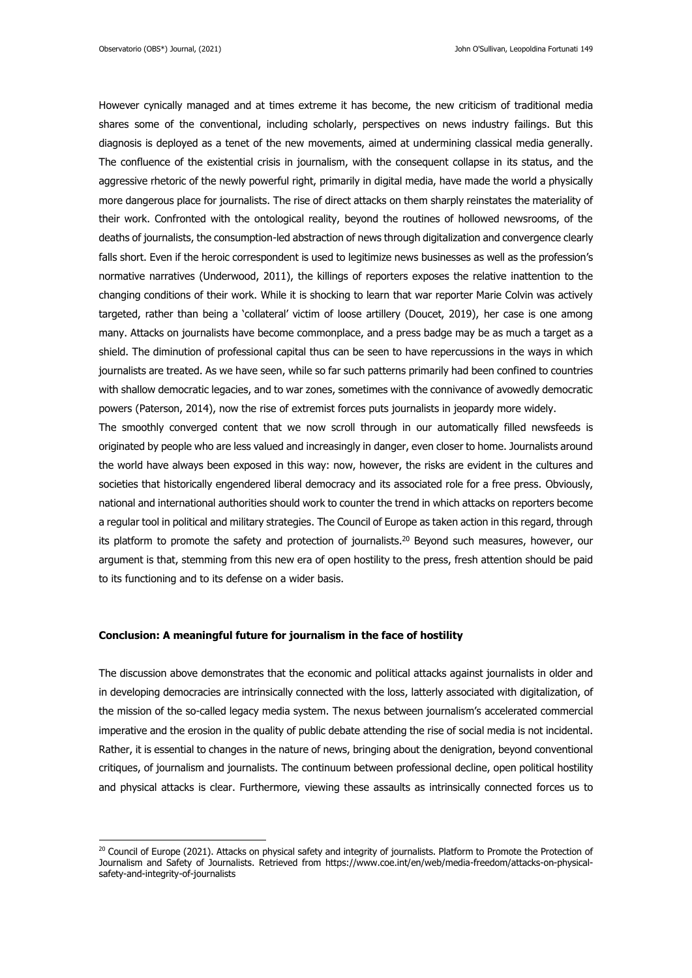However cynically managed and at times extreme it has become, the new criticism of traditional media shares some of the conventional, including scholarly, perspectives on news industry failings. But this diagnosis is deployed as a tenet of the new movements, aimed at undermining classical media generally. The confluence of the existential crisis in journalism, with the consequent collapse in its status, and the aggressive rhetoric of the newly powerful right, primarily in digital media, have made the world a physically more dangerous place for journalists. The rise of direct attacks on them sharply reinstates the materiality of their work. Confronted with the ontological reality, beyond the routines of hollowed newsrooms, of the deaths of journalists, the consumption-led abstraction of news through digitalization and convergence clearly falls short. Even if the heroic correspondent is used to legitimize news businesses as well as the profession's normative narratives (Underwood, 2011), the killings of reporters exposes the relative inattention to the changing conditions of their work. While it is shocking to learn that war reporter Marie Colvin was actively targeted, rather than being a 'collateral' victim of loose artillery (Doucet, 2019), her case is one among many. Attacks on journalists have become commonplace, and a press badge may be as much a target as a shield. The diminution of professional capital thus can be seen to have repercussions in the ways in which journalists are treated. As we have seen, while so far such patterns primarily had been confined to countries with shallow democratic legacies, and to war zones, sometimes with the connivance of avowedly democratic powers (Paterson, 2014), now the rise of extremist forces puts journalists in jeopardy more widely.

The smoothly converged content that we now scroll through in our automatically filled newsfeeds is originated by people who are less valued and increasingly in danger, even closer to home. Journalists around the world have always been exposed in this way: now, however, the risks are evident in the cultures and societies that historically engendered liberal democracy and its associated role for a free press. Obviously, national and international authorities should work to counter the trend in which attacks on reporters become a regular tool in political and military strategies. The Council of Europe as taken action in this regard, through its platform to promote the safety and protection of journalists.<sup>20</sup> Beyond such measures, however, our argument is that, stemming from this new era of open hostility to the press, fresh attention should be paid to its functioning and to its defense on a wider basis.

#### **Conclusion: A meaningful future for journalism in the face of hostility**

The discussion above demonstrates that the economic and political attacks against journalists in older and in developing democracies are intrinsically connected with the loss, latterly associated with digitalization, of the mission of the so-called legacy media system. The nexus between journalism's accelerated commercial imperative and the erosion in the quality of public debate attending the rise of social media is not incidental. Rather, it is essential to changes in the nature of news, bringing about the denigration, beyond conventional critiques, of journalism and journalists. The continuum between professional decline, open political hostility and physical attacks is clear. Furthermore, viewing these assaults as intrinsically connected forces us to

<sup>&</sup>lt;sup>20</sup> Council of Europe (2021). Attacks on physical safety and integrity of journalists. Platform to Promote the Protection of Journalism and Safety of Journalists. Retrieved from https://www.coe.int/en/web/media-freedom/attacks-on-physicalsafety-and-integrity-of-journalists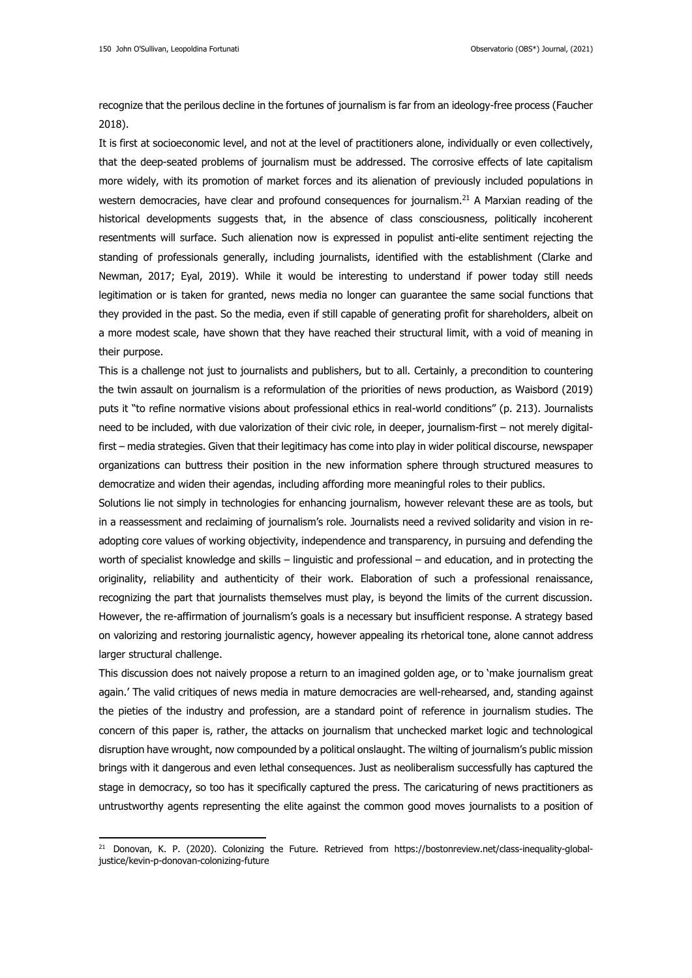recognize that the perilous decline in the fortunes of journalism is far from an ideology-free process (Faucher 2018).

It is first at socioeconomic level, and not at the level of practitioners alone, individually or even collectively, that the deep-seated problems of journalism must be addressed. The corrosive effects of late capitalism more widely, with its promotion of market forces and its alienation of previously included populations in western democracies, have clear and profound consequences for journalism.<sup>21</sup> A Marxian reading of the historical developments suggests that, in the absence of class consciousness, politically incoherent resentments will surface. Such alienation now is expressed in populist anti-elite sentiment rejecting the standing of professionals generally, including journalists, identified with the establishment (Clarke and Newman, 2017; Eyal, 2019). While it would be interesting to understand if power today still needs legitimation or is taken for granted, news media no longer can guarantee the same social functions that they provided in the past. So the media, even if still capable of generating profit for shareholders, albeit on a more modest scale, have shown that they have reached their structural limit, with a void of meaning in their purpose.

This is a challenge not just to journalists and publishers, but to all. Certainly, a precondition to countering the twin assault on journalism is a reformulation of the priorities of news production, as Waisbord (2019) puts it "to refine normative visions about professional ethics in real-world conditions" (p. 213). Journalists need to be included, with due valorization of their civic role, in deeper, journalism-first – not merely digitalfirst – media strategies. Given that their legitimacy has come into play in wider political discourse, newspaper organizations can buttress their position in the new information sphere through structured measures to democratize and widen their agendas, including affording more meaningful roles to their publics.

Solutions lie not simply in technologies for enhancing journalism, however relevant these are as tools, but in a reassessment and reclaiming of journalism's role. Journalists need a revived solidarity and vision in readopting core values of working objectivity, independence and transparency, in pursuing and defending the worth of specialist knowledge and skills – linguistic and professional – and education, and in protecting the originality, reliability and authenticity of their work. Elaboration of such a professional renaissance, recognizing the part that journalists themselves must play, is beyond the limits of the current discussion. However, the re-affirmation of journalism's goals is a necessary but insufficient response. A strategy based on valorizing and restoring journalistic agency, however appealing its rhetorical tone, alone cannot address larger structural challenge.

This discussion does not naively propose a return to an imagined golden age, or to 'make journalism great again.' The valid critiques of news media in mature democracies are well-rehearsed, and, standing against the pieties of the industry and profession, are a standard point of reference in journalism studies. The concern of this paper is, rather, the attacks on journalism that unchecked market logic and technological disruption have wrought, now compounded by a political onslaught. The wilting of journalism's public mission brings with it dangerous and even lethal consequences. Just as neoliberalism successfully has captured the stage in democracy, so too has it specifically captured the press. The caricaturing of news practitioners as untrustworthy agents representing the elite against the common good moves journalists to a position of

<sup>&</sup>lt;sup>21</sup> Donovan, K. P. (2020). Colonizing the Future. Retrieved from [https://bostonreview.net/class-inequality-global](https://bostonreview.net/class-inequality-global-justice/kevin-p-donovan-colonizing-future)[justice/kevin-p-donovan-colonizing-future](https://bostonreview.net/class-inequality-global-justice/kevin-p-donovan-colonizing-future)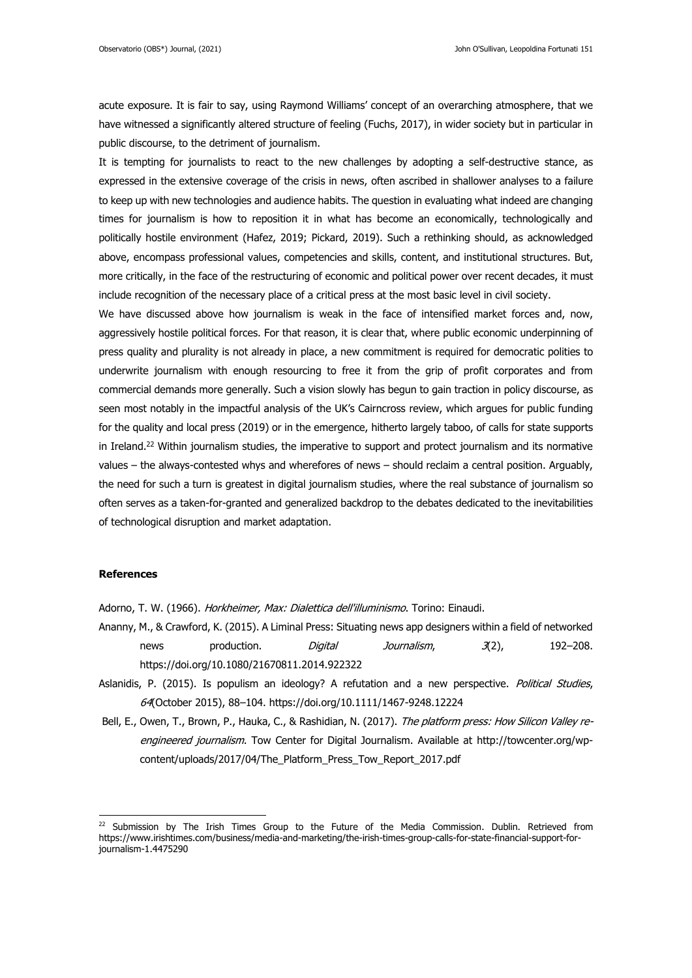acute exposure. It is fair to say, using Raymond Williams' concept of an overarching atmosphere, that we have witnessed a significantly altered structure of feeling (Fuchs, 2017), in wider society but in particular in public discourse, to the detriment of journalism.

It is tempting for journalists to react to the new challenges by adopting a self-destructive stance, as expressed in the extensive coverage of the crisis in news, often ascribed in shallower analyses to a failure to keep up with new technologies and audience habits. The question in evaluating what indeed are changing times for journalism is how to reposition it in what has become an economically, technologically and politically hostile environment (Hafez, 2019; Pickard, 2019). Such a rethinking should, as acknowledged above, encompass professional values, competencies and skills, content, and institutional structures. But, more critically, in the face of the restructuring of economic and political power over recent decades, it must include recognition of the necessary place of a critical press at the most basic level in civil society.

We have discussed above how journalism is weak in the face of intensified market forces and, now, aggressively hostile political forces. For that reason, it is clear that, where public economic underpinning of press quality and plurality is not already in place, a new commitment is required for democratic polities to underwrite journalism with enough resourcing to free it from the grip of profit corporates and from commercial demands more generally. Such a vision slowly has begun to gain traction in policy discourse, as seen most notably in the impactful analysis of the UK's Cairncross review, which argues for public funding for the quality and local press (2019) or in the emergence, hitherto largely taboo, of calls for state supports in Ireland.<sup>22</sup> Within journalism studies, the imperative to support and protect journalism and its normative values – the always-contested whys and wherefores of news – should reclaim a central position. Arguably, the need for such a turn is greatest in digital journalism studies, where the real substance of journalism so often serves as a taken-for-granted and generalized backdrop to the debates dedicated to the inevitabilities of technological disruption and market adaptation.

## **References**

Adorno, T. W. (1966). Horkheimer, Max: Dialettica dell'illuminismo. Torino: Einaudi.

- Ananny, M., & Crawford, K. (2015). A Liminal Press: Situating news app designers within a field of networked news production. *Digital Journalism*, 3(2), 192–208. <https://doi.org/10.1080/21670811.2014.922322>
- Aslanidis, P. (2015). Is populism an ideology? A refutation and a new perspective. Political Studies, 64(October 2015), 88–10[4. https://doi.org/10.1111/1467-9248.12224](file:///C:/Users/osullivj/Documents/sorted/Research/Publishing/fatal%20materiality/.%20https:/doi.org/10.1111/1467-9248.12224)
- Bell, E., Owen, T., Brown, P., Hauka, C., & Rashidian, N. (2017). The platform press: How Silicon Valley reengineered journalism. Tow Center for Digital Journalism. Available at [http://towcenter.org/wp](http://towcenter.org/wp-content/uploads/2017/04/The_Platform_Press_Tow_Report_2017.pdf)[content/uploads/2017/04/The\\_Platform\\_Press\\_Tow\\_Report\\_2017.pdf](http://towcenter.org/wp-content/uploads/2017/04/The_Platform_Press_Tow_Report_2017.pdf)

<sup>&</sup>lt;sup>22</sup> Submission by The Irish Times Group to the Future of the Media Commission. Dublin. Retrieved from [https://www.irishtimes.com/business/media-and-marketing/the-irish-times-group-calls-for-state-financial-support-for](https://www.irishtimes.com/business/media-and-marketing/the-irish-times-group-calls-for-state-financial-support-for-journalism-1.4475290)[journalism-1.4475290](https://www.irishtimes.com/business/media-and-marketing/the-irish-times-group-calls-for-state-financial-support-for-journalism-1.4475290)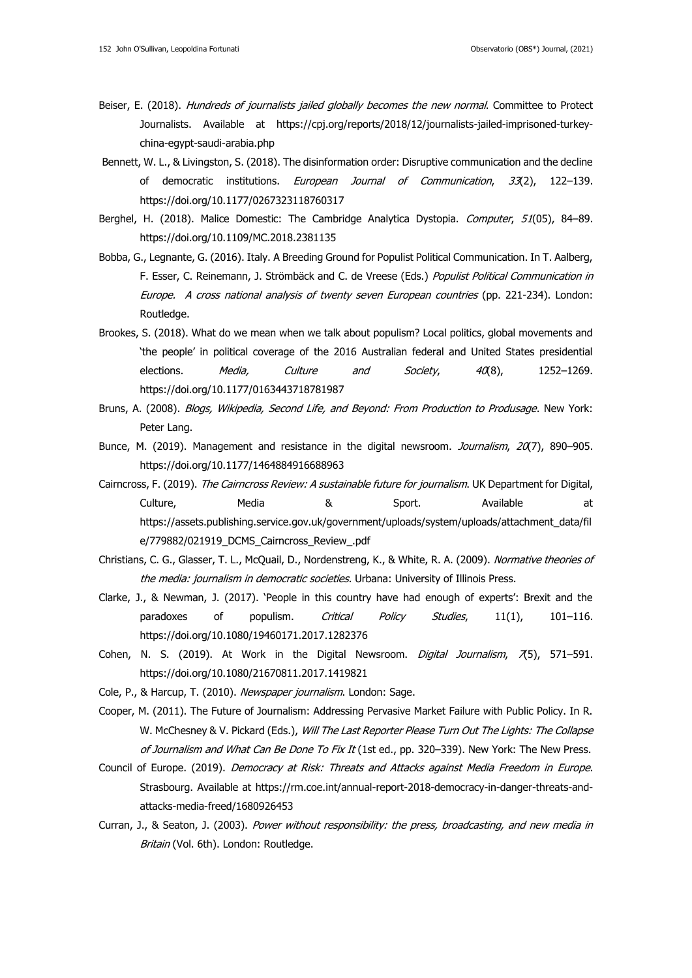- Beiser, E. (2018). Hundreds of journalists jailed globally becomes the new normal. Committee to Protect Journalists. Available at [https://cpj.org/reports/2018/12/journalists-jailed-imprisoned-turkey](https://cpj.org/reports/2018/12/journalists-jailed-imprisoned-turkey-china-egypt-saudi-arabia.php)[china-egypt-saudi-arabia.php](https://cpj.org/reports/2018/12/journalists-jailed-imprisoned-turkey-china-egypt-saudi-arabia.php)
- Bennett, W. L., & Livingston, S. (2018). The disinformation order: Disruptive communication and the decline of democratic institutions. European Journal of Communication, 33(2), 122-139. <https://doi.org/10.1177/0267323118760317>
- Berghel, H. (2018). Malice Domestic: The Cambridge Analytica Dystopia. Computer, 51(05), 84-89. <https://doi.org/10.1109/MC.2018.2381135>
- Bobba, G., Legnante, G. (2016). Italy. A Breeding Ground for Populist Political Communication. In T. Aalberg, F. Esser, C. Reinemann, J. Strömbäck and C. de Vreese (Eds.) Populist Political Communication in Europe. A cross national analysis of twenty seven European countries (pp. 221-234). London: Routledge.
- Brookes, S. (2018). What do we mean when we talk about populism? Local politics, global movements and 'the people' in political coverage of the 2016 Australian federal and United States presidential elections. Media, Culture and Society, 40(8), 1252-1269. <https://doi.org/10.1177/0163443718781987>
- Bruns, A. (2008). Blogs, Wikipedia, Second Life, and Beyond: From Production to Produsage. New York: Peter Lang.
- Bunce, M. (2019). Management and resistance in the digital newsroom. Journalism, 20(7), 890-905. <https://doi.org/10.1177/1464884916688963>
- Cairncross, F. (2019). The Cairncross Review: A sustainable future for journalism. UK Department for Digital, Culture, Media & Sport. Available at [https://assets.publishing.service.gov.uk/government/uploads/system/uploads/attachment\\_data/fil](https://assets.publishing.service.gov.uk/government/uploads/system/uploads/attachment_data/file/779882/021919_DCMS_Cairncross_Review_.pdf) [e/779882/021919\\_DCMS\\_Cairncross\\_Review\\_.pdf](https://assets.publishing.service.gov.uk/government/uploads/system/uploads/attachment_data/file/779882/021919_DCMS_Cairncross_Review_.pdf)
- Christians, C. G., Glasser, T. L., McQuail, D., Nordenstreng, K., & White, R. A. (2009). Normative theories of the media: journalism in democratic societies. Urbana: University of Illinois Press.
- Clarke, J., & Newman, J. (2017). 'People in this country have had enough of experts': Brexit and the paradoxes of populism. Critical Policy Studies, 11(1), 101-116. https://doi.org/10.1080/19460171.2017.1282376
- Cohen, N. S. (2019). At Work in the Digital Newsroom. Digital Journalism,  $\overline{A}5$ , 571–591. <https://doi.org/10.1080/21670811.2017.1419821>
- Cole, P., & Harcup, T. (2010). Newspaper journalism. London: Sage.
- Cooper, M. (2011). The Future of Journalism: Addressing Pervasive Market Failure with Public Policy. In R. W. McChesney & V. Pickard (Eds.), Will The Last Reporter Please Turn Out The Lights: The Collapse of Journalism and What Can Be Done To Fix It (1st ed., pp. 320-339). New York: The New Press.
- Council of Europe. (2019). Democracy at Risk: Threats and Attacks against Media Freedom in Europe. Strasbourg. Available at [https://rm.coe.int/annual-report-2018-democracy-in-danger-threats-and](https://rm.coe.int/annual-report-2018-democracy-in-danger-threats-and-attacks-media-freed/1680926453)[attacks-media-freed/1680926453](https://rm.coe.int/annual-report-2018-democracy-in-danger-threats-and-attacks-media-freed/1680926453)
- Curran, J., & Seaton, J. (2003). Power without responsibility: the press, broadcasting, and new media in Britain (Vol. 6th). London: Routledge.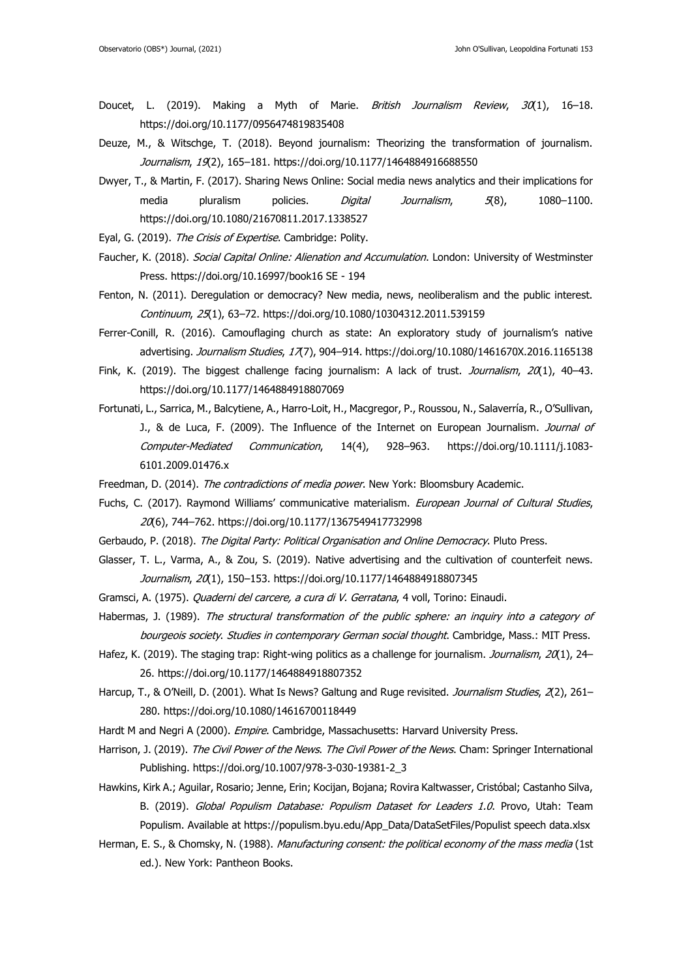- Doucet, L. (2019). Making a Myth of Marie. British Journalism Review, 30(1), 16-18. <https://doi.org/10.1177/0956474819835408>
- Deuze, M., & Witschge, T. (2018). Beyond journalism: Theorizing the transformation of journalism. Journalism, 19(2), 165-181.<https://doi.org/10.1177/1464884916688550>
- Dwyer, T., & Martin, F. (2017). Sharing News Online: Social media news analytics and their implications for media pluralism policies. Digital Journalism, 5(8), 1080-1100. <https://doi.org/10.1080/21670811.2017.1338527>
- Eyal, G. (2019). The Crisis of Expertise. Cambridge: Polity.
- Faucher, K. (2018). Social Capital Online: Alienation and Accumulation. London: University of Westminster Press. [https://doi.org/10.16997/book16 SE -](https://doi.org/10.16997/book16%20SE%20-%20194) 194
- Fenton, N. (2011). Deregulation or democracy? New media, news, neoliberalism and the public interest. Continuum, 25(1), 63–72.<https://doi.org/10.1080/10304312.2011.539159>
- Ferrer-Conill, R. (2016). Camouflaging church as state: An exploratory study of journalism's native advertising. Journalism Studies, 17(7), 904-914.<https://doi.org/10.1080/1461670X.2016.1165138>
- Fink, K. (2019). The biggest challenge facing journalism: A lack of trust. Journalism, 20(1), 40-43. <https://doi.org/10.1177/1464884918807069>
- Fortunati, L., Sarrica, M., Balcytiene, A., Harro-Loit, H., Macgregor, P., Roussou, N., Salaverría, R., O'Sullivan, J., & de Luca, F. (2009). The Influence of the Internet on European Journalism. Journal of Computer-Mediated Communication, 14(4), 928–963. https://doi.org/10.1111/j.1083- 6101.2009.01476.x
- Freedman, D. (2014). The contradictions of media power. New York: Bloomsbury Academic.
- Fuchs, C. (2017). Raymond Williams' communicative materialism. European Journal of Cultural Studies, 20(6), 744–762.<https://doi.org/10.1177/1367549417732998>
- Gerbaudo, P. (2018). The Digital Party: Political Organisation and Online Democracy. Pluto Press.
- Glasser, T. L., Varma, A., & Zou, S. (2019). Native advertising and the cultivation of counterfeit news. Journalism, 20(1), 150-153.<https://doi.org/10.1177/1464884918807345>
- Gramsci, A. (1975). Quaderni del carcere, a cura di V. Gerratana, 4 voll, Torino: Einaudi.
- Habermas, J. (1989). The structural transformation of the public sphere: an inquiry into a category of bourgeois society. Studies in contemporary German social thought. Cambridge, Mass.: MIT Press.
- Hafez, K. (2019). The staging trap: Right-wing politics as a challenge for journalism. Journalism, 20(1), 24-26.<https://doi.org/10.1177/1464884918807352>
- Harcup, T., & O'Neill, D. (2001). What Is News? Galtung and Ruge revisited. Journalism Studies, 2(2), 261-280.<https://doi.org/10.1080/14616700118449>
- Hardt M and Negri A (2000). Empire. Cambridge, Massachusetts: Harvard University Press.
- Harrison, J. (2019). The Civil Power of the News. The Civil Power of the News. Cham: Springer International Publishing. [https://doi.org/10.1007/978-3-030-19381-2\\_3](https://doi.org/10.1007/978-3-030-19381-2_3)
- Hawkins, Kirk A.; Aguilar, Rosario; Jenne, Erin; Kocijan, Bojana; Rovira Kaltwasser, Cristóbal; Castanho Silva, B. (2019). Global Populism Database: Populism Dataset for Leaders 1.0. Provo, Utah: Team Populism. Available at [https://populism.byu.edu/App\\_Data/DataSetFiles/Populist speech data.xlsx](https://populism.byu.edu/App_Data/DataSetFiles/Populist%20speech%20data.xlsx)
- Herman, E. S., & Chomsky, N. (1988). Manufacturing consent: the political economy of the mass media (1st ed.). New York: Pantheon Books.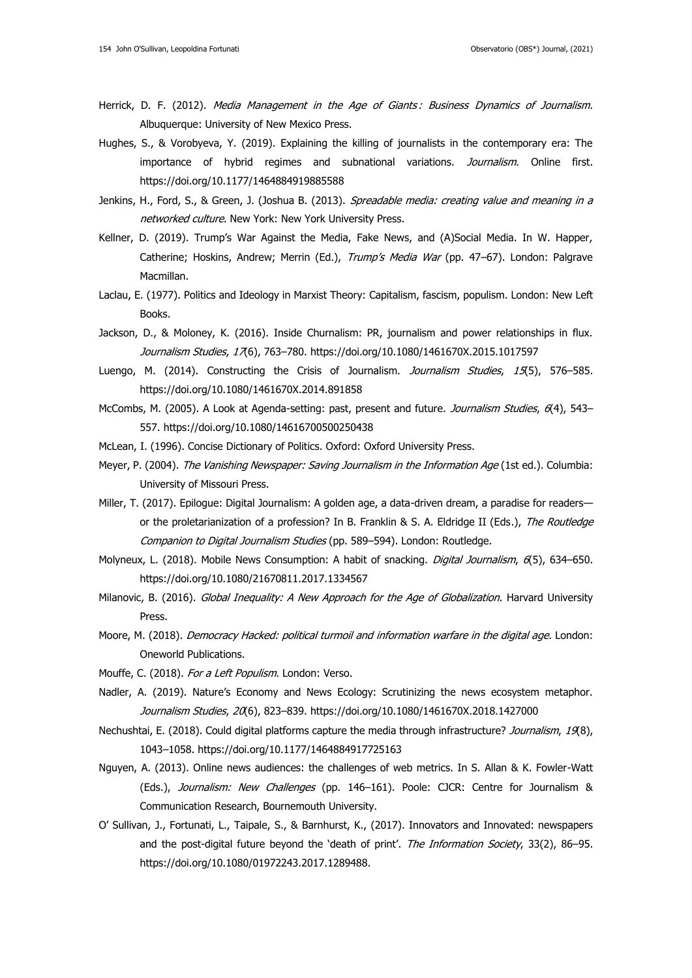- Herrick, D. F. (2012). Media Management in the Age of Giants: Business Dynamics of Journalism. Albuquerque: University of New Mexico Press.
- Hughes, S., & Vorobyeva, Y. (2019). Explaining the killing of journalists in the contemporary era: The importance of hybrid regimes and subnational variations. Journalism. Online first. <https://doi.org/10.1177/1464884919885588>
- Jenkins, H., Ford, S., & Green, J. (Joshua B. (2013). Spreadable media: creating value and meaning in a networked culture. New York: New York University Press.
- Kellner, D. (2019). Trump's War Against the Media, Fake News, and (A)Social Media. In W. Happer, Catherine; Hoskins, Andrew; Merrin (Ed.), Trump's Media War (pp. 47-67). London: Palgrave Macmillan.
- Laclau, E. (1977). Politics and Ideology in Marxist Theory: Capitalism, fascism, populism. London: New Left Books.
- Jackson, D., & Moloney, K. (2016). Inside Churnalism: PR, journalism and power relationships in flux. Journalism Studies, 17(6), 763–780.<https://doi.org/10.1080/1461670X.2015.1017597>
- Luengo, M. (2014). Constructing the Crisis of Journalism. Journalism Studies, 15(5), 576-585. <https://doi.org/10.1080/1461670X.2014.891858>
- McCombs, M. (2005). A Look at Agenda-setting: past, present and future. *Journalism Studies*, 6(4), 543-557.<https://doi.org/10.1080/14616700500250438>
- McLean, I. (1996). Concise Dictionary of Politics. Oxford: Oxford University Press.
- Meyer, P. (2004). The Vanishing Newspaper: Saving Journalism in the Information Age (1st ed.). Columbia: University of Missouri Press.
- Miller, T. (2017). Epilogue: Digital Journalism: A golden age, a data-driven dream, a paradise for readers or the proletarianization of a profession? In B. Franklin & S. A. Eldridge II (Eds.), The Routledge Companion to Digital Journalism Studies (pp. 589–594). London: Routledge.
- Molyneux, L. (2018). Mobile News Consumption: A habit of snacking. *Digital Journalism*, 6(5), 634–650. <https://doi.org/10.1080/21670811.2017.1334567>
- Milanovic, B. (2016). Global Inequality: A New Approach for the Age of Globalization. Harvard University Press.
- Moore, M. (2018). Democracy Hacked: political turmoil and information warfare in the digital age. London: Oneworld Publications.
- Mouffe, C. (2018). For a Left Populism. London: Verso.
- Nadler, A. (2019). Nature's Economy and News Ecology: Scrutinizing the news ecosystem metaphor. Journalism Studies, 20(6), 823-839.<https://doi.org/10.1080/1461670X.2018.1427000>
- Nechushtai, E. (2018). Could digital platforms capture the media through infrastructure? Journalism, 19(8), 1043–1058.<https://doi.org/10.1177/1464884917725163>
- Nguyen, A. (2013). Online news audiences: the challenges of web metrics. In S. Allan & K. Fowler-Watt (Eds.), Journalism: New Challenges (pp. 146-161). Poole: CJCR: Centre for Journalism & Communication Research, Bournemouth University.
- O' Sullivan, J., Fortunati, L., Taipale, S., & Barnhurst, K., (2017). Innovators and Innovated: newspapers and the post-digital future beyond the 'death of print'. The Information Society, 33(2), 86-95. https://doi.org/10.1080/01972243.2017.1289488.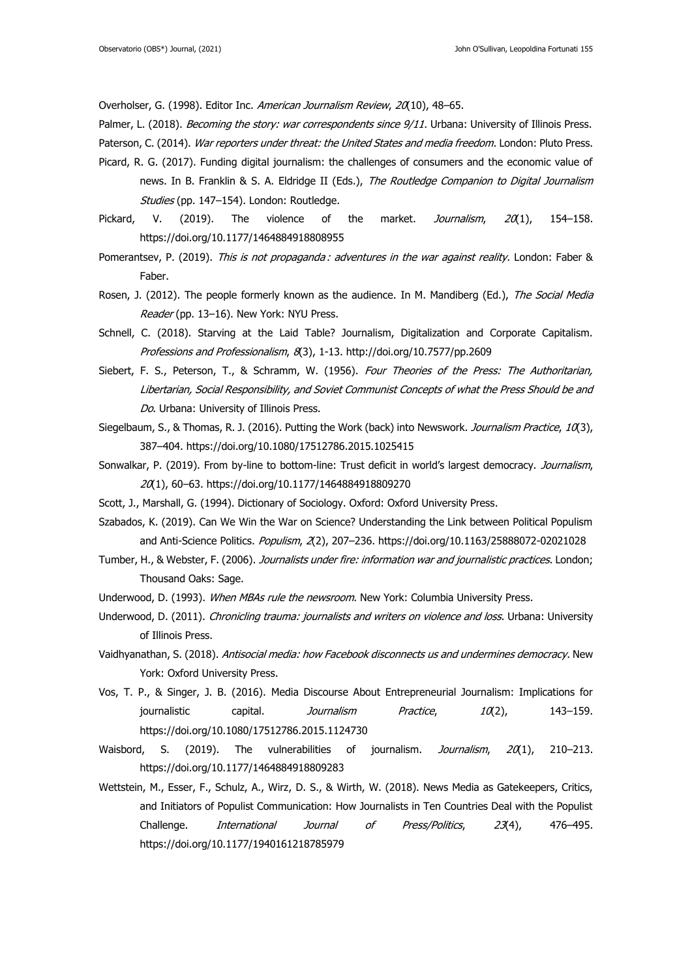Overholser, G. (1998). Editor Inc. American Journalism Review, 20(10), 48-65.

Palmer, L. (2018). *Becoming the story: war correspondents since 9/11*. Urbana: University of Illinois Press.

Paterson, C. (2014). War reporters under threat: the United States and media freedom. London: Pluto Press.

- Picard, R. G. (2017). Funding digital journalism: the challenges of consumers and the economic value of news. In B. Franklin & S. A. Eldridge II (Eds.), The Routledge Companion to Digital Journalism Studies (pp. 147-154). London: Routledge.
- Pickard, V. (2019). The violence of the market. *Journalism*,  $20(1)$ , 154–158. <https://doi.org/10.1177/1464884918808955>
- Pomerantsev, P. (2019). This is not propaganda : adventures in the war against reality. London: Faber & Faber.
- Rosen, J. (2012). The people formerly known as the audience. In M. Mandiberg (Ed.), The Social Media Reader (pp. 13-16). New York: NYU Press.
- Schnell, C. (2018). Starving at the Laid Table? Journalism, Digitalization and Corporate Capitalism. Professions and Professionalism, 8(3), 1-13. http://doi.org/10.7577/pp.2609
- Siebert, F. S., Peterson, T., & Schramm, W. (1956). Four Theories of the Press: The Authoritarian, Libertarian, Social Responsibility, and Soviet Communist Concepts of what the Press Should be and Do. Urbana: University of Illinois Press.
- Siegelbaum, S., & Thomas, R. J. (2016). Putting the Work (back) into Newswork. Journalism Practice, 10(3), 387–404.<https://doi.org/10.1080/17512786.2015.1025415>
- Sonwalkar, P. (2019). From by-line to bottom-line: Trust deficit in world's largest democracy. Journalism, 20(1), 60–63.<https://doi.org/10.1177/1464884918809270>
- Scott, J., Marshall, G. (1994). Dictionary of Sociology. Oxford: Oxford University Press.
- Szabados, K. (2019). Can We Win the War on Science? Understanding the Link between Political Populism and Anti-Science Politics. *Populism, 2*(2), 207-236. <https://doi.org/10.1163/25888072-02021028>
- Tumber, H., & Webster, F. (2006). Journalists under fire: information war and journalistic practices. London; Thousand Oaks: Sage.
- Underwood, D. (1993). When MBAs rule the newsroom. New York: Columbia University Press.
- Underwood, D. (2011). Chronicling trauma: journalists and writers on violence and loss. Urbana: University of Illinois Press.
- Vaidhyanathan, S. (2018). Antisocial media: how Facebook disconnects us and undermines democracy. New York: Oxford University Press.
- Vos, T. P., & Singer, J. B. (2016). Media Discourse About Entrepreneurial Journalism: Implications for journalistic capital. *Journalism Practice*,  $10(2)$ , 143–159. <https://doi.org/10.1080/17512786.2015.1124730>
- Waisbord, S. (2019). The vulnerabilities of journalism. Journalism, 20(1), 210-213. <https://doi.org/10.1177/1464884918809283>
- Wettstein, M., Esser, F., Schulz, A., Wirz, D. S., & Wirth, W. (2018). News Media as Gatekeepers, Critics, and Initiators of Populist Communication: How Journalists in Ten Countries Deal with the Populist Challenge. *International Journal of Press/Politics*, 23(4), 476-495. <https://doi.org/10.1177/1940161218785979>